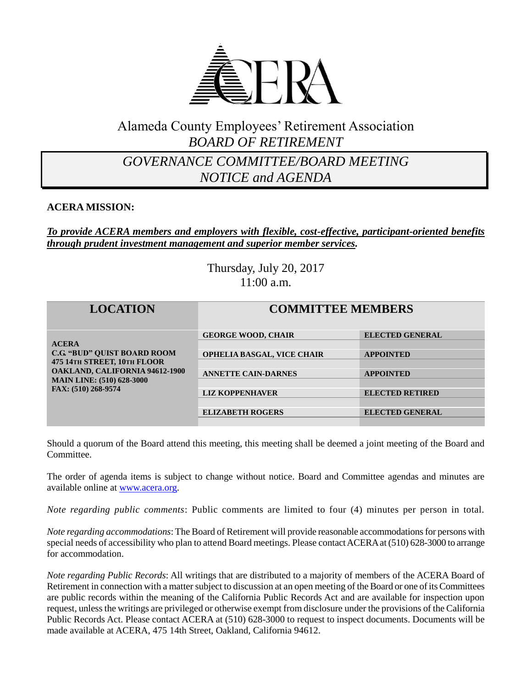

# Alameda County Employees' Retirement Association *BOARD OF RETIREMENT*

# *GOVERNANCE COMMITTEE/BOARD MEETING NOTICE and AGENDA*

#### **ACERA MISSION:**

#### *To provide ACERA members and employers with flexible, cost-effective, participant-oriented benefits through prudent investment management and superior member services.*

Thursday, July 20, 2017 11:00 a.m.

| <b>LOCATION</b>                                                                                                                                                                       | <b>COMMITTEE MEMBERS</b>                                                                                        |                                                                                          |
|---------------------------------------------------------------------------------------------------------------------------------------------------------------------------------------|-----------------------------------------------------------------------------------------------------------------|------------------------------------------------------------------------------------------|
| <b>ACERA</b><br><b>C.G. "BUD" OUIST BOARD ROOM</b><br>475 14TH STREET, 10TH FLOOR<br><b>OAKLAND, CALIFORNIA 94612-1900</b><br><b>MAIN LINE: (510) 628-3000</b><br>FAX: (510) 268-9574 | <b>GEORGE WOOD, CHAIR</b><br>OPHELIA BASGAL, VICE CHAIR<br><b>ANNETTE CAIN-DARNES</b><br><b>LIZ KOPPENHAVER</b> | <b>ELECTED GENERAL</b><br><b>APPOINTED</b><br><b>APPOINTED</b><br><b>ELECTED RETIRED</b> |
|                                                                                                                                                                                       | <b>ELIZABETH ROGERS</b>                                                                                         | <b>ELECTED GENERAL</b>                                                                   |

Should a quorum of the Board attend this meeting, this meeting shall be deemed a joint meeting of the Board and Committee.

The order of agenda items is subject to change without notice. Board and Committee agendas and minutes are available online at [www.acera.org.](http://www.acera.org/)

*Note regarding public comments*: Public comments are limited to four (4) minutes per person in total.

*Note regarding accommodations*: The Board of Retirement will provide reasonable accommodations for persons with special needs of accessibility who plan to attend Board meetings. Please contact ACERA at (510) 628-3000 to arrange for accommodation.

*Note regarding Public Records*: All writings that are distributed to a majority of members of the ACERA Board of Retirement in connection with a matter subject to discussion at an open meeting of the Board or one of its Committees are public records within the meaning of the California Public Records Act and are available for inspection upon request, unless the writings are privileged or otherwise exempt from disclosure under the provisions of the California Public Records Act. Please contact ACERA at (510) 628-3000 to request to inspect documents. Documents will be made available at ACERA, 475 14th Street, Oakland, California 94612.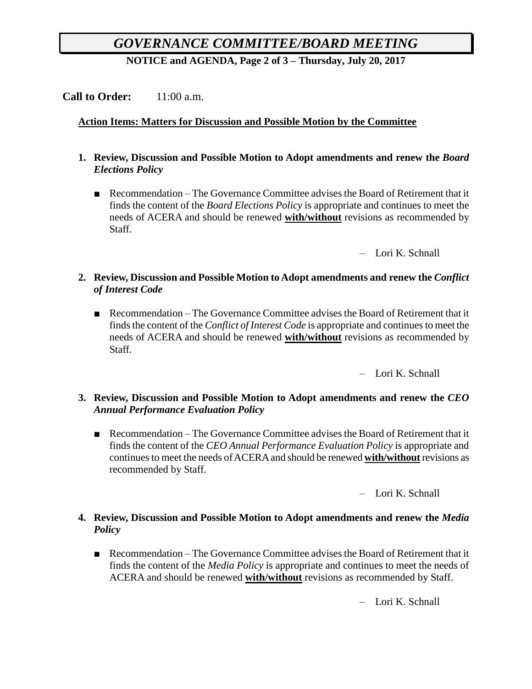# *GOVERNANCE COMMITTEE/BOARD MEETING*

**NOTICE and AGENDA, Page 2 of 3 – Thursday, July 20, 2017**

# **Call to Order:** 11:00 a.m.

#### **Action Items: Matters for Discussion and Possible Motion by the Committee**

- **1. Review, Discussion and Possible Motion to Adopt amendments and renew the** *Board Elections Policy*
	- Recommendation The Governance Committee advises the Board of Retirement that it finds the content of the *Board Elections Policy* is appropriate and continues to meet the needs of ACERA and should be renewed **with/without** revisions as recommended by Staff.

– Lori K. Schnall

- **2. Review, Discussion and Possible Motion to Adopt amendments and renew the** *Conflict of Interest Code*
	- Recommendation The Governance Committee advises the Board of Retirement that it finds the content of the *Conflict of Interest Code* is appropriate and continues to meet the needs of ACERA and should be renewed **with/without** revisions as recommended by Staff.

– Lori K. Schnall

#### **3. Review, Discussion and Possible Motion to Adopt amendments and renew the** *CEO Annual Performance Evaluation Policy*

■ Recommendation – The Governance Committee advises the Board of Retirement that it finds the content of the *CEO Annual Performance Evaluation Policy* is appropriate and continues to meet the needs of ACERA and should be renewed **with/without** revisions as recommended by Staff.

– Lori K. Schnall

#### **4. Review, Discussion and Possible Motion to Adopt amendments and renew the** *Media Policy*

■ Recommendation – The Governance Committee advises the Board of Retirement that it finds the content of the *Media Policy* is appropriate and continues to meet the needs of ACERA and should be renewed **with/without** revisions as recommended by Staff.

– Lori K. Schnall